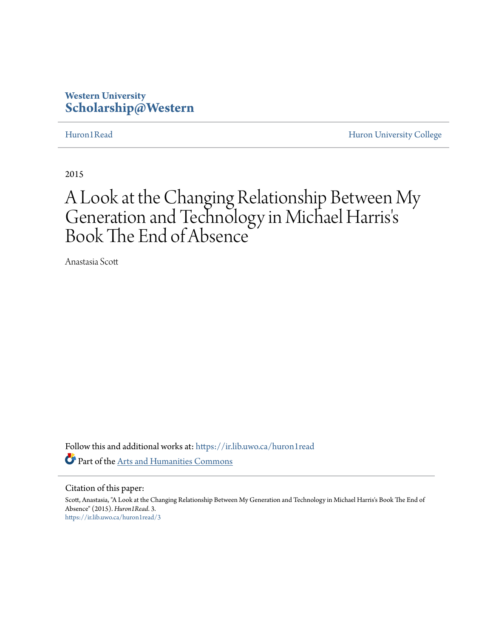# **Western University [Scholarship@Western](https://ir.lib.uwo.ca?utm_source=ir.lib.uwo.ca%2Fhuron1read%2F3&utm_medium=PDF&utm_campaign=PDFCoverPages)**

[Huron1Read](https://ir.lib.uwo.ca/huron1read?utm_source=ir.lib.uwo.ca%2Fhuron1read%2F3&utm_medium=PDF&utm_campaign=PDFCoverPages) [Huron University College](https://ir.lib.uwo.ca/huron?utm_source=ir.lib.uwo.ca%2Fhuron1read%2F3&utm_medium=PDF&utm_campaign=PDFCoverPages)

2015

# A Look at the Changing Relationship Between My Generation and Technology in Michael Harris ' s Book The End of Absence

Anastasia Scott

Follow this and additional works at: [https://ir.lib.uwo.ca/huron1read](https://ir.lib.uwo.ca/huron1read?utm_source=ir.lib.uwo.ca%2Fhuron1read%2F3&utm_medium=PDF&utm_campaign=PDFCoverPages) Part of the [Arts and Humanities Commons](http://network.bepress.com/hgg/discipline/438?utm_source=ir.lib.uwo.ca%2Fhuron1read%2F3&utm_medium=PDF&utm_campaign=PDFCoverPages)

### Citation of this paper:

Scott, Anastasia, "A Look at the Changing Relationship Between My Generation and Technology in Michael Harris's Book The End of Absence" (2015). *Huron1Read*. 3. [https://ir.lib.uwo.ca/huron1read/3](https://ir.lib.uwo.ca/huron1read/3?utm_source=ir.lib.uwo.ca%2Fhuron1read%2F3&utm_medium=PDF&utm_campaign=PDFCoverPages)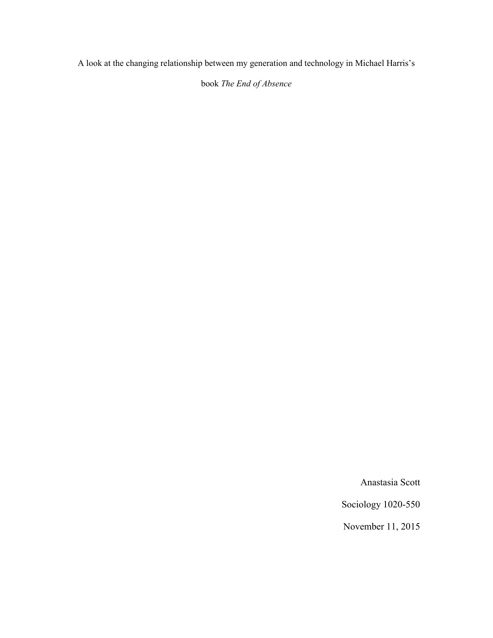A look at the changing relationship between my generation and technology in Michael Harris's

book *The End of Absence*

Anastasia Scott

Sociology 1020-550

November 11, 2015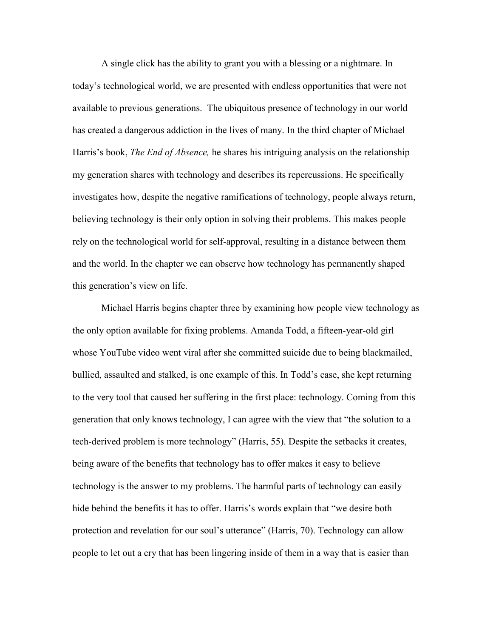A single click has the ability to grant you with a blessing or a nightmare. In today's technological world, we are presented with endless opportunities that were not available to previous generations. The ubiquitous presence of technology in our world has created a dangerous addiction in the lives of many. In the third chapter of Michael Harris's book, *The End of Absence,* he shares his intriguing analysis on the relationship my generation shares with technology and describes its repercussions. He specifically investigates how, despite the negative ramifications of technology, people always return, believing technology is their only option in solving their problems. This makes people rely on the technological world for self-approval, resulting in a distance between them and the world. In the chapter we can observe how technology has permanently shaped this generation's view on life.

Michael Harris begins chapter three by examining how people view technology as the only option available for fixing problems. Amanda Todd, a fifteen-year-old girl whose YouTube video went viral after she committed suicide due to being blackmailed, bullied, assaulted and stalked, is one example of this. In Todd's case, she kept returning to the very tool that caused her suffering in the first place: technology. Coming from this generation that only knows technology, I can agree with the view that "the solution to a tech-derived problem is more technology" (Harris, 55). Despite the setbacks it creates, being aware of the benefits that technology has to offer makes it easy to believe technology is the answer to my problems. The harmful parts of technology can easily hide behind the benefits it has to offer. Harris's words explain that "we desire both protection and revelation for our soul's utterance" (Harris, 70). Technology can allow people to let out a cry that has been lingering inside of them in a way that is easier than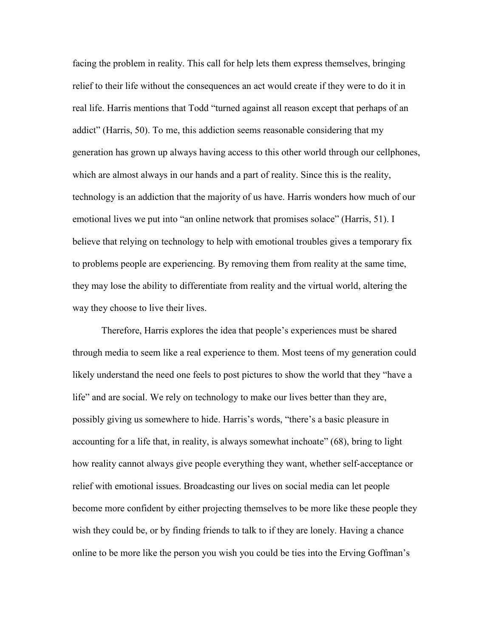facing the problem in reality. This call for help lets them express themselves, bringing relief to their life without the consequences an act would create if they were to do it in real life. Harris mentions that Todd "turned against all reason except that perhaps of an addict" (Harris, 50). To me, this addiction seems reasonable considering that my generation has grown up always having access to this other world through our cellphones, which are almost always in our hands and a part of reality. Since this is the reality, technology is an addiction that the majority of us have. Harris wonders how much of our emotional lives we put into "an online network that promises solace" (Harris, 51). I believe that relying on technology to help with emotional troubles gives a temporary fix to problems people are experiencing. By removing them from reality at the same time, they may lose the ability to differentiate from reality and the virtual world, altering the way they choose to live their lives.

Therefore, Harris explores the idea that people's experiences must be shared through media to seem like a real experience to them. Most teens of my generation could likely understand the need one feels to post pictures to show the world that they "have a life" and are social. We rely on technology to make our lives better than they are, possibly giving us somewhere to hide. Harris's words, "there's a basic pleasure in accounting for a life that, in reality, is always somewhat inchoate" (68), bring to light how reality cannot always give people everything they want, whether self-acceptance or relief with emotional issues. Broadcasting our lives on social media can let people become more confident by either projecting themselves to be more like these people they wish they could be, or by finding friends to talk to if they are lonely. Having a chance online to be more like the person you wish you could be ties into the Erving Goffman's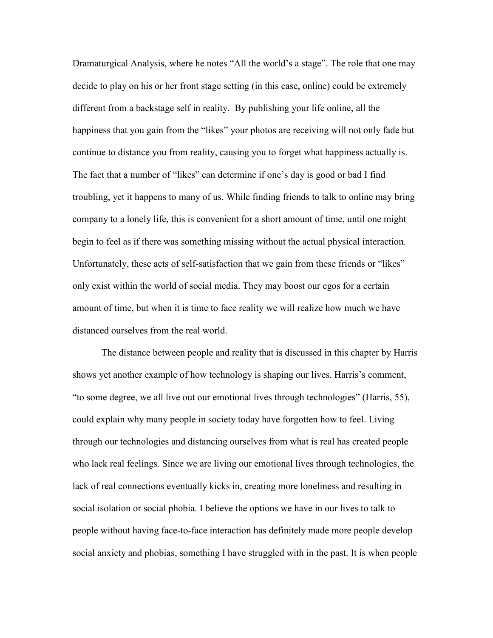Dramaturgical Analysis, where he notes "All the world's a stage". The role that one may decide to play on his or her front stage setting (in this case, online) could be extremely different from a backstage self in reality. By publishing your life online, all the happiness that you gain from the "likes" your photos are receiving will not only fade but continue to distance you from reality, causing you to forget what happiness actually is. The fact that a number of "likes" can determine if one's day is good or bad I find troubling, yet it happens to many of us. While finding friends to talk to online may bring company to a lonely life, this is convenient for a short amount of time, until one might begin to feel as if there was something missing without the actual physical interaction. Unfortunately, these acts of self-satisfaction that we gain from these friends or "likes" only exist within the world of social media. They may boost our egos for a certain amount of time, but when it is time to face reality we will realize how much we have distanced ourselves from the real world.

The distance between people and reality that is discussed in this chapter by Harris shows yet another example of how technology is shaping our lives. Harris's comment, "to some degree, we all live out our emotional lives through technologies" (Harris, 55), could explain why many people in society today have forgotten how to feel. Living through our technologies and distancing ourselves from what is real has created people who lack real feelings. Since we are living our emotional lives through technologies, the lack of real connections eventually kicks in, creating more loneliness and resulting in social isolation or social phobia. I believe the options we have in our lives to talk to people without having face-to-face interaction has definitely made more people develop social anxiety and phobias, something I have struggled with in the past. It is when people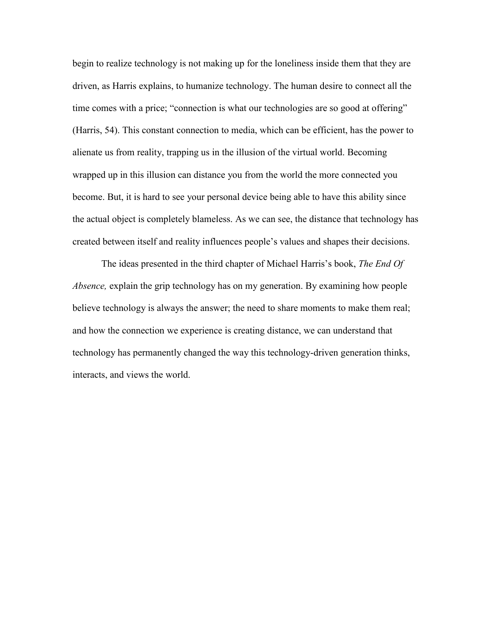begin to realize technology is not making up for the loneliness inside them that they are driven, as Harris explains, to humanize technology. The human desire to connect all the time comes with a price; "connection is what our technologies are so good at offering" (Harris, 54). This constant connection to media, which can be efficient, has the power to alienate us from reality, trapping us in the illusion of the virtual world. Becoming wrapped up in this illusion can distance you from the world the more connected you become. But, it is hard to see your personal device being able to have this ability since the actual object is completely blameless. As we can see, the distance that technology has created between itself and reality influences people's values and shapes their decisions.

The ideas presented in the third chapter of Michael Harris's book, *The End Of Absence,* explain the grip technology has on my generation. By examining how people believe technology is always the answer; the need to share moments to make them real; and how the connection we experience is creating distance, we can understand that technology has permanently changed the way this technology-driven generation thinks, interacts, and views the world.